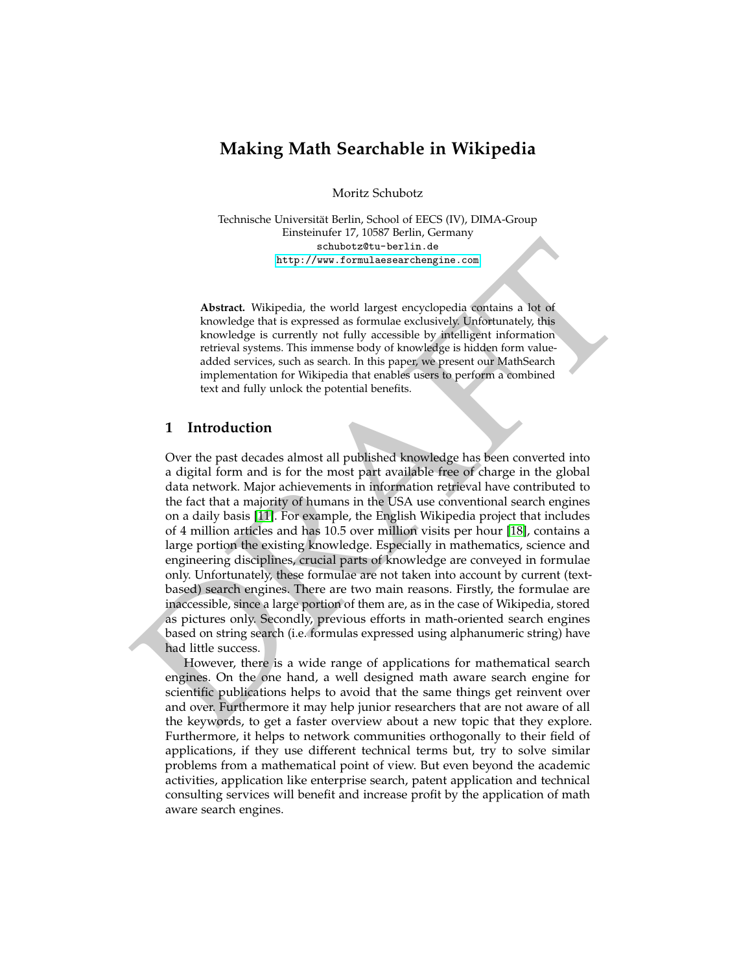# **Making Math Searchable in Wikipedia**

Moritz Schubotz

Technische Universität Berlin, School of EECS (IV), DIMA-Group Einsteinufer 17, 10587 Berlin, Germany schubotz@tu-berlin.de http://www.formulaesearchengine.com

**Abstract.** Wikipedia, the world largest encyclopedia contains a lot of knowledge that is expressed as formulae exclusively. Unfortunately, this knowledge is currently not fully accessible by intelligent information retrieval systems. This immense body of knowledge is hidden form valueadded services, such as search. In this paper, we present our MathSearch implementation for Wikipedia that enables users to perform a combined text and fully unlock the potential benefits.

## **1 Introduction**

 $\begin{tabular}{l|c|c|c|c} \hline & \multicolumn{1}{c}{\textbf{sc}} & \multicolumn{1}{c}{\textbf{sc}} & \multicolumn{1}{c}{\textbf{c}} & \multicolumn{1}{c}{\textbf{c}} & \multicolumn{1}{c}{\textbf{c}} & \multicolumn{1}{c}{\textbf{c}} & \multicolumn{1}{c}{\textbf{c}} & \multicolumn{1}{c}{\textbf{c}} & \multicolumn{1}{c}{\textbf{c}} & \multicolumn{1}{c}{\textbf{c}} & \multicolumn{1}{c}{\textbf{d}} & \multicolumn{1}{c}{\textbf{d}} & \multicolumn{1}{c$ Over the past decades almost all published knowledge has been converted into a digital form and is for the most part available free of charge in the global data network. Major achievements in information retrieval have contributed to the fact that a majority of humans in the USA use conventional search engines on a daily basis [11]. For example, the English Wikipedia project that includes of 4 million articles and has 10.5 over million visits per hour [18], contains a large portion the existing knowledge. Especially in mathematics, science and engineering disciplines, crucial parts of knowledge are conveyed in formulae only. Unfortunately, these formulae are not taken into account by current (textbased) search engines. There are two main reasons. Firstly, the formulae are inaccessible, since a large portion of them are, as in the case of Wikipedia, stored as pictures only. Secondly, previous efforts in math-oriented search engines based on string search (i.e. formulas expressed using alphanumeric string) have had little success.

However, there is a wide range of applications for mathematical search engines. On the one hand, a well designed math aware search engine for scientific publications helps to avoid that the same things get reinvent over and over. Furthermore it may help junior researchers that are not aware of all the keywords, to get a faster overview about a new topic that they explore. Furthermore, it helps to network communities orthogonally to their field of applications, if they use different technical terms but, try to solve similar problems from a mathematical point of view. But even beyond the academic activities, application like enterprise search, patent application and technical consulting services will benefit and increase profit by the application of math aware search engines.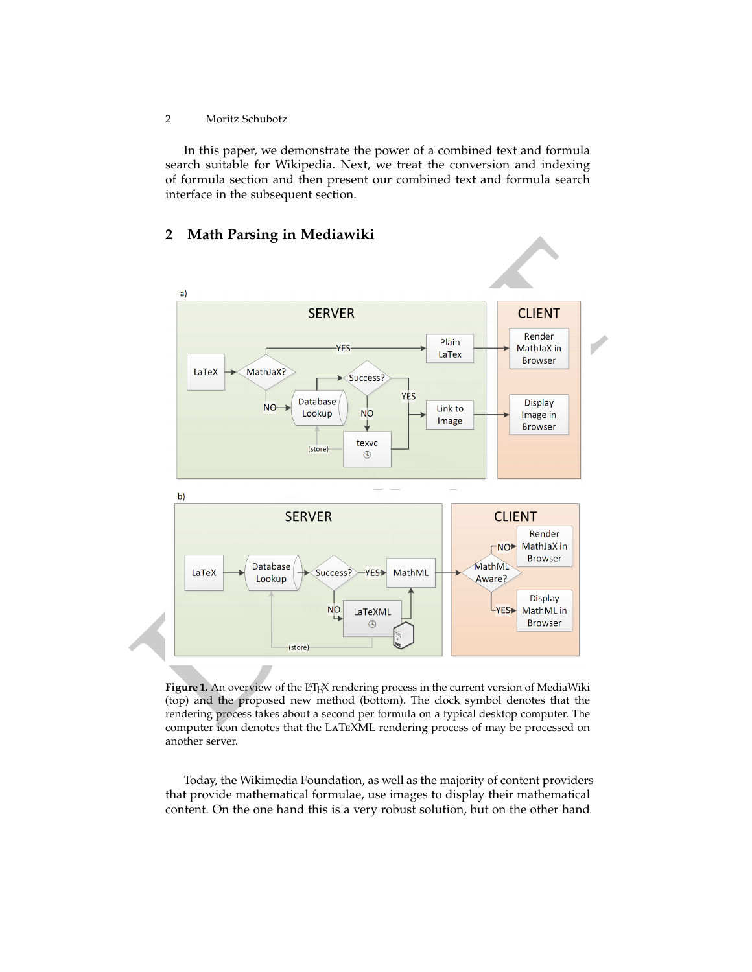2 Moritz Schubotz

In this paper, we demonstrate the power of a combined text and formula search suitable for Wikipedia. Next, we treat the conversion and indexing of formula section and then present our combined text and formula search interface in the subsequent section.

# **2 Math Parsing in Mediawiki**



<span id="page-1-0"></span>Figure 1. An overview of the L<sup>AT</sup>EX rendering process in the current version of MediaWiki (top) and the proposed new method (bottom). The clock symbol denotes that the rendering process takes about a second per formula on a typical desktop computer. The computer icon denotes that the LaTeXML rendering process of may be processed on another server.

Today, the Wikimedia Foundation, as well as the majority of content providers that provide mathematical formulae, use images to display their mathematical content. On the one hand this is a very robust solution, but on the other hand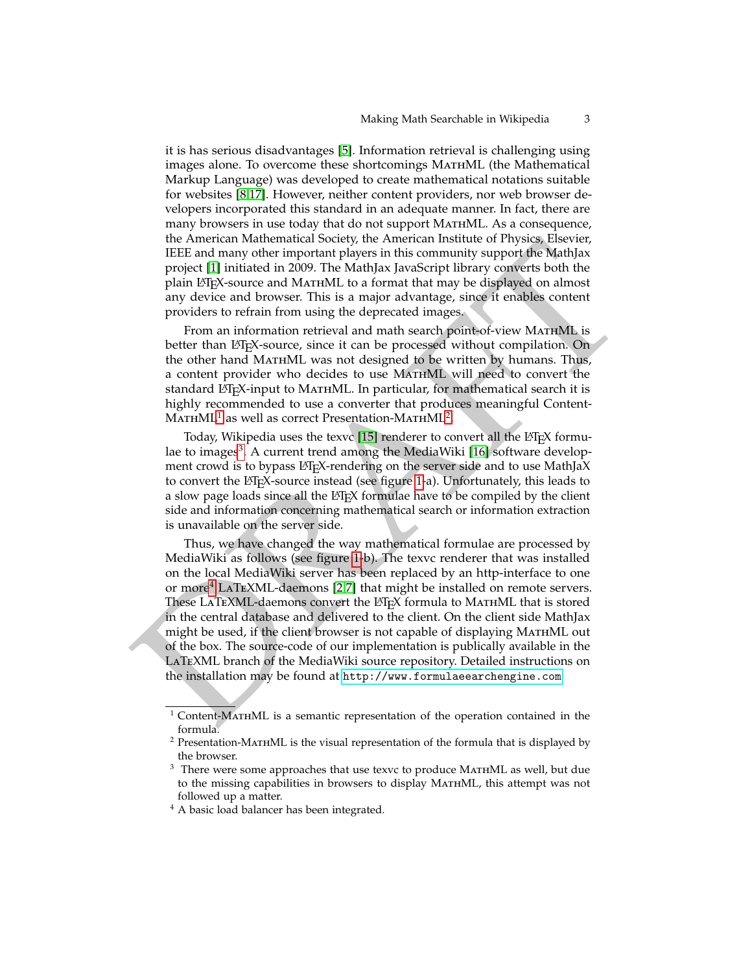it is has serious disadvantages [\[5\]](#page-5-1). Information retrieval is challenging using images alone. To overcome these shortcomings MATHML (the Mathematical Markup Language) was developed to create mathematical notations suitable for websites [\[8,](#page-5-2)[17\]](#page-6-1). However, neither content providers, nor web browser developers incorporated this standard in an adequate manner. In fact, there are many browsers in use today that do not support MathML. As a consequence, the American Mathematical Society, the American Institute of Physics, Elsevier, IEEE and many other important players in this community support the MathJax project [1] initiated in 2009. The MathJax JavaScript library converts both the plain LAT<sub>E</sub>X-source and MATHML to a format that may be displayed on almost any device and browser. This is a major advantage, since it enables content providers to refrain from using the deprecated images.

From an information retrieval and math search point-of-view MATHML is better than LAT<sub>E</sub>X-source, since it can be processed without compilation. On the other hand MathML was not designed to be written by humans. Thus, a content provider who decides to use MathML will need to convert the standard LATEX-input to MATHML. In particular, for mathematical search it is highly recommended to use a converter that produces meaningful Content- $M$ ATHML<sup>1</sup> as well as correct Presentation-MATHML<sup>2</sup>.

Today, Wikipedia uses the texvc [15] renderer to convert all the LATEX formulae to images<sup>3</sup>. A current trend among the MediaWiki [16] software development crowd is to bypass LATEX-rendering on the server side and to use MathJaX to convert the LATEX-source instead (see figure 1-a). Unfortunately, this leads to a slow page loads since all the LAT<sub>E</sub>X formulae have to be compiled by the client side and information concerning mathematical search or information extraction is unavailable on the server side.

In American Mathematical society, the American institute of Physics, Elsever, Hights, project [1] initiated in 2009. The Mathyl spy port file Mathyl spy project (1) initiated in 2009. The Mathyl spy book the plain [D](#page-2-3)ipX-so Thus, we have changed the way mathematical formulae are processed by MediaWiki as follows (see figure 1-b). The texvc renderer that was installed on the local MediaWiki server has been replaced by an http-interface to one or more<sup>4</sup> LaTeXML-daemons [2,7] that might be installed on remote servers. These LATEXML-daemons convert the LHFX formula to MATHML that is stored in the central database and delivered to the client. On the client side MathJax might be used, if the client browser is not capable of displaying MATHML out of the box. The source-code of our implementation is publically available in the LaTeXML branch of the MediaWiki source repository. Detailed instructions on the installation may be found at http://www.formulaeearchengine.com.

<span id="page-2-0"></span><sup>1</sup> Content-MathML is a semantic representation of the operation contained in the formula.

<span id="page-2-1"></span> $^2$  Presentation-MATHML is the visual representation of the formula that is displayed by the browser.

<span id="page-2-2"></span> $3$  There were some approaches that use texvc to produce MATHML as well, but due to the missing capabilities in browsers to display MathML, this attempt was not followed up a matter.

<span id="page-2-3"></span><sup>&</sup>lt;sup>4</sup> A basic load balancer has been integrated.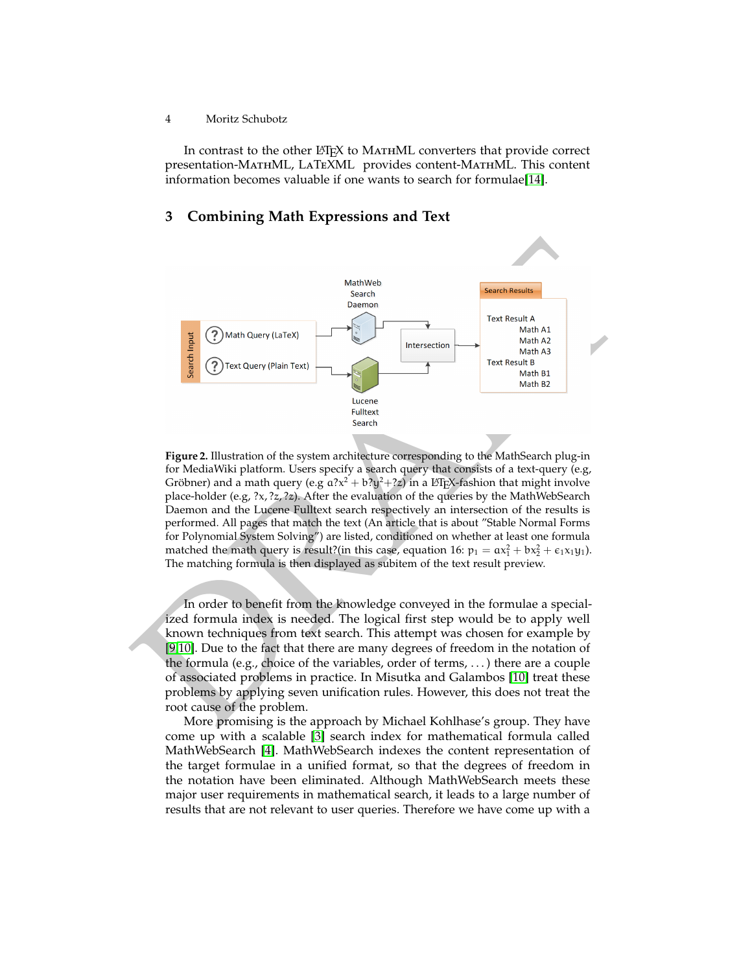#### 4 Moritz Schubotz

In contrast to the other LATEX to MATHML converters that provide correct presentation-MathML, LaTeXML provides content-MathML. This content information becomes valuable if one wants to search for formulae[\[14\]](#page-5-8).

## **3 Combining Math Expressions and Text**



<span id="page-3-0"></span>**Figure 2.** Illustration of the system architecture corresponding to the MathSearch plug-in for MediaWiki platform. Users specify a search query that consists of a text-query (e.g, Gröbner) and a math query (e.g  $a?x^2 + b?y^2 + ?z$ ) in a L<sup>a</sup>TEX-fashion that might involve place-holder (e.g,  $\langle x, \langle z, \rangle, z \rangle$ ). After the evaluation of the queries by the MathWebSearch Daemon and the Lucene Fulltext search respectively an intersection of the results is performed. All pages that match the text (An article that is about "Stable Normal Forms for Polynomial System Solving") are listed, conditioned on whether at least one formula matched the math query is result?(in this case, equation 16:  $p_1 = \alpha x_1^2 + bx_2^2 + \epsilon_1 x_1 y_1$ ). The matching formula is then displayed as subitem of the text result preview.

In order to benefit from the knowledge conveyed in the formulae a specialized formula index is needed. The logical first step would be to apply well known techniques from text search. This attempt was chosen for example by [9,10]. Due to the fact that there are many degrees of freedom in the notation of the formula (e.g., choice of the variables, order of terms, . . . ) there are a couple of associated problems in practice. In Misutka and Galambos [10] treat these problems by applying seven unification rules. However, this does not treat the root cause of the problem.

More promising is the approach by Michael Kohlhase's group. They have come up with a scalable [\[3\]](#page-5-11) search index for mathematical formula called MathWebSearch [\[4\]](#page-5-12). MathWebSearch indexes the content representation of the target formulae in a unified format, so that the degrees of freedom in the notation have been eliminated. Although MathWebSearch meets these major user requirements in mathematical search, it leads to a large number of results that are not relevant to user queries. Therefore we have come up with a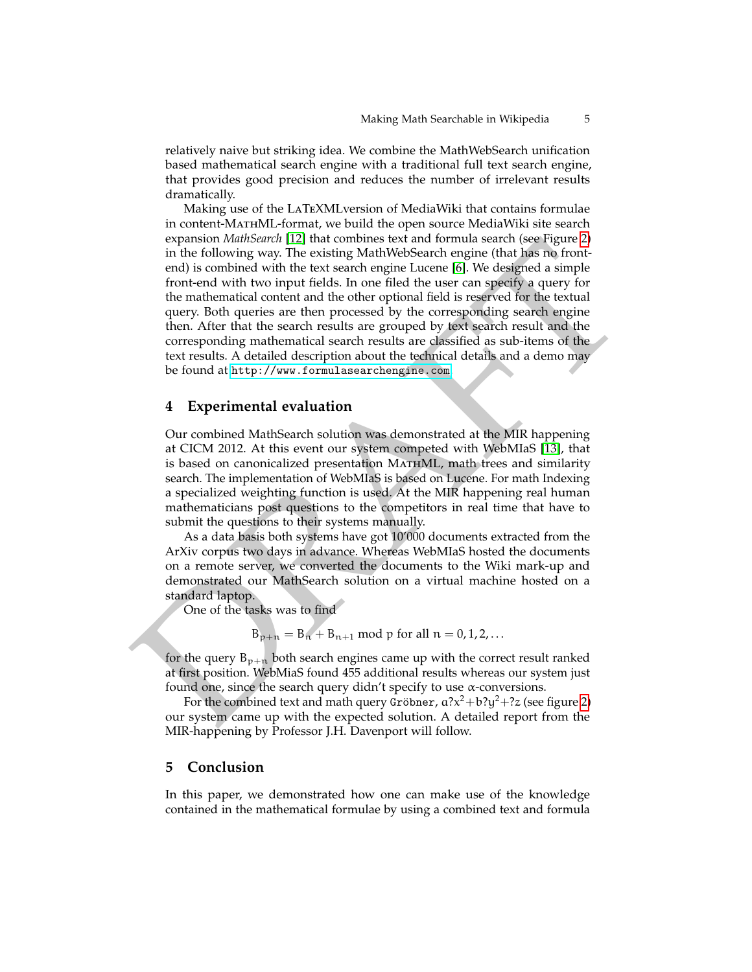relatively naive but striking idea. We combine the MathWebSearch unification based mathematical search engine with a traditional full text search engine, that provides good precision and reduces the number of irrelevant results dramatically.

expansion *Mathisearch* II-12 Intat combines lext and formula search as equality<br>of the choice of the distribution of the theoretic mode from the following way. The reststing MathiWebsearch engine function<br>from the differ Making use of the LaTeXMLversion of MediaWiki that contains formulae in content-MathML-format, we build the open source MediaWiki site search expansion *MathSearch* [\[12\]](#page-5-13) that combines text and formula search (see Figure [2\)](#page-3-0) in the following way. The existing MathWebSearch engine (that has no frontend) is combined with the text search engine Lucene [6]. We designed a simple front-end with two input fields. In one filed the user can specify a query for the mathematical content and the other optional field is reserved for the textual query. Both queries are then processed by the corresponding search engine then. After that the search results are grouped by text search result and the corresponding mathematical search results are classified as sub-items of the text results. A detailed description about the technical details and a demo may be found at http://www.formulasearchengine.com.

#### **4 Experimental evaluation**

Our combined MathSearch solution was demonstrated at the MIR happening at CICM 2012. At this event our system competed with WebMIaS [13], that is based on canonicalized presentation MATHML, math trees and similarity search. The implementation of WebMIaS is based on Lucene. For math Indexing a specialized weighting function is used. At the MIR happening real human mathematicians post questions to the competitors in real time that have to submit the questions to their systems manually.

As a data basis both systems have got 10'000 documents extracted from the ArXiv corpus two days in advance. Whereas WebMIaS hosted the documents on a remote server, we converted the documents to the Wiki mark-up and demonstrated our MathSearch solution on a virtual machine hosted on a standard laptop.

One of the tasks was to find

$$
B_{p+n} = B_n + B_{n+1} \text{ mod } p \text{ for all } n = 0, 1, 2, ...
$$

for the query  $B_{p+n}$  both search engines came up with the correct result ranked at first position. WebMiaS found 455 additional results whereas our system just found one, since the search query didn't specify to use  $\alpha$ -conversions.

For the combined text and math query Gröbner,  $a?x^2 + b?y^2 + ?z$  (see figure 2) our system came up with the expected solution. A detailed report from the MIR-happening by Professor J.H. Davenport will follow.

#### **5 Conclusion**

In this paper, we demonstrated how one can make use of the knowledge contained in the mathematical formulae by using a combined text and formula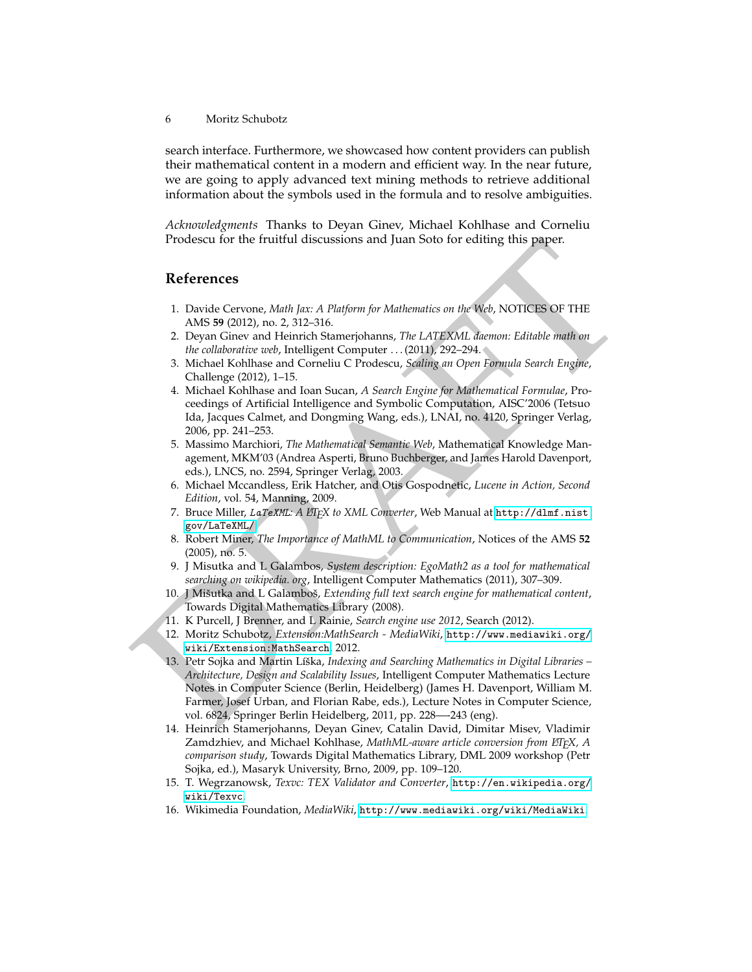6 Moritz Schubotz

search interface. Furthermore, we showcased how content providers can publish their mathematical content in a modern and efficient way. In the near future, we are going to apply advanced text mining methods to retrieve additional information about the symbols used in the formula and to resolve ambiguities.

*Acknowledgments* Thanks to Deyan Ginev, Michael Kohlhase and Corneliu Prodescu for the fruitful discussions and Juan Soto for editing this paper.

### **References**

- <span id="page-5-3"></span>1. Davide Cervone, *Math Jax: A Platform for Mathematics on the Web*, NOTICES OF THE AMS **59** (2012), no. 2, 312–316.
- <span id="page-5-6"></span>2. Deyan Ginev and Heinrich Stamerjohanns, *The LATEXML daemon: Editable math on the collaborative web*, Intelligent Computer . . . (2011), 292–294.
- <span id="page-5-11"></span>3. Michael Kohlhase and Corneliu C Prodescu, *Scaling an Open Formula Search Engine*, Challenge (2012), 1–15.
- <span id="page-5-12"></span>4. Michael Kohlhase and Ioan Sucan, *A Search Engine for Mathematical Formulae*, Proceedings of Artificial Intelligence and Symbolic Computation, AISC'2006 (Tetsuo Ida, Jacques Calmet, and Dongming Wang, eds.), LNAI, no. 4120, Springer Verlag, 2006, pp. 241–253.
- <span id="page-5-1"></span>5. Massimo Marchiori, *The Mathematical Semantic Web*, Mathematical Knowledge Management, MKM'03 (Andrea Asperti, Bruno Buchberger, and James Harold Davenport, eds.), LNCS, no. 2594, Springer Verlag, 2003.
- <span id="page-5-14"></span>6. Michael Mccandless, Erik Hatcher, and Otis Gospodnetic, *Lucene in Action, Second Edition*, vol. 54, Manning, 2009.
- <span id="page-5-7"></span>7. Bruce Miller, LaTeXML: A *EIFX to XML Converter*, Web Manual at http://dlmf.nist. gov/LaTeXML/.
- <span id="page-5-2"></span>8. Robert Miner, *The Importance of MathML to Communication*, Notices of the AMS **52** (2005), no. 5.
- <span id="page-5-9"></span>9. J Misutka and L Galambos, *System description: EgoMath2 as a tool for mathematical searching on wikipedia. org*, Intelligent Computer Mathematics (2011), 307–309.
- <span id="page-5-10"></span>10. J Mišutka and L Galamboš, Extending full text search engine for mathematical content, Towards Digital Mathematics Library (2008).
- <span id="page-5-0"></span>11. K Purcell, J Brenner, and L Rainie, *Search engine use 2012*, Search (2012).
- <span id="page-5-15"></span><span id="page-5-13"></span><span id="page-5-8"></span><span id="page-5-5"></span><span id="page-5-4"></span>12. Moritz Schubotz, *Extension:MathSearch - MediaWiki*, http://www.mediawiki.org/ wiki/Extension:MathSearch, 2012.
- Prodescu for the fruitful discussions and Juan Solo for editing this paper.<br>
References<br>
1. [D](http://www.mediawiki.org/wiki/Extension:MathSearch)avide Cervone, *Math Jax: A Platform for Mathematics on the Web*, NOTICES OF THE<br>
2. Dayan Cline and Heinrich Stane<br>eiphanns, *T* 13. Petr Sojka and Martin Líška, Indexing and Searching Mathematics in Digital Libraries – *Architecture, Design and Scalability Issues*, Intelligent Computer Mathematics Lecture Notes in Computer Science (Berlin, Heidelberg) (James H. Davenport, William M. Farmer, Josef Urban, and Florian Rabe, eds.), Lecture Notes in Computer Science, vol. 6824, Springer Berlin Heidelberg, 2011, pp. 228—-243 (eng).
	- 14. Heinrich Stamerjohanns, Deyan Ginev, Catalin David, Dimitar Misev, Vladimir Zamdzhiev, and Michael Kohlhase, *MathML-aware article conversion from ETEX*, *A comparison study*, Towards Digital Mathematics Library, DML 2009 workshop (Petr Sojka, ed.), Masaryk University, Brno, 2009, pp. 109–120.
	- 15. T. Wegrzanowsk, *Texvc: TEX Validator and Converter*, [http://en.wikipedia.org/](http://en.wikipedia.org/wiki/Texvc) [wiki/Texvc](http://en.wikipedia.org/wiki/Texvc).
	- 16. Wikimedia Foundation, *MediaWiki*, <http://www.mediawiki.org/wiki/MediaWiki>.